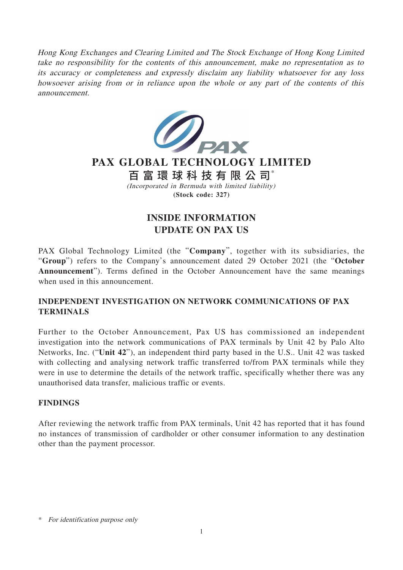Hong Kong Exchanges and Clearing Limited and The Stock Exchange of Hong Kong Limited take no responsibility for the contents of this announcement, make no representation as to its accuracy or completeness and expressly disclaim any liability whatsoever for any loss howsoever arising from or in reliance upon the whole or any part of the contents of this announcement.



# **PAX GLOBAL TECHNOLOGY LIMITED**

(Incorporated in Bermuda with limited liability) **(Stock code: 327)** 百富環球科技有限公司\*

## **INSIDE INFORMATION UPDATE ON PAX US**

PAX Global Technology Limited (the "**Company**", together with its subsidiaries, the "**Group**") refers to the Company's announcement dated 29 October 2021 (the "**October Announcement**"). Terms defined in the October Announcement have the same meanings when used in this announcement.

### **INDEPENDENT INVESTIGATION ON NETWORK COMMUNICATIONS OF PAX TERMINALS**

Further to the October Announcement, Pax US has commissioned an independent investigation into the network communications of PAX terminals by Unit 42 by Palo Alto Networks, Inc. ("**Unit 42**"), an independent third party based in the U.S.. Unit 42 was tasked with collecting and analysing network traffic transferred to/from PAX terminals while they were in use to determine the details of the network traffic, specifically whether there was any unauthorised data transfer, malicious traffic or events.

#### **FINDINGS**

After reviewing the network traffic from PAX terminals, Unit 42 has reported that it has found no instances of transmission of cardholder or other consumer information to any destination other than the payment processor.

<sup>\*</sup> For identification purpose only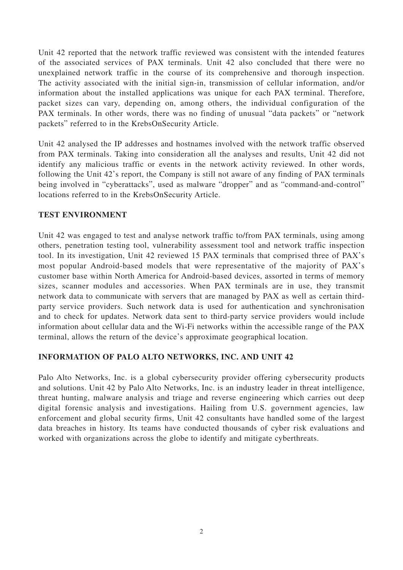Unit 42 reported that the network traffic reviewed was consistent with the intended features of the associated services of PAX terminals. Unit 42 also concluded that there were no unexplained network traffic in the course of its comprehensive and thorough inspection. The activity associated with the initial sign-in, transmission of cellular information, and/or information about the installed applications was unique for each PAX terminal. Therefore, packet sizes can vary, depending on, among others, the individual configuration of the PAX terminals. In other words, there was no finding of unusual "data packets" or "network" packets" referred to in the KrebsOnSecurity Article.

Unit 42 analysed the IP addresses and hostnames involved with the network traffic observed from PAX terminals. Taking into consideration all the analyses and results, Unit 42 did not identify any malicious traffic or events in the network activity reviewed. In other words, following the Unit 42's report, the Company is still not aware of any finding of PAX terminals being involved in "cyberattacks", used as malware "dropper" and as "command-and-control" locations referred to in the KrebsOnSecurity Article.

#### **TEST ENVIRONMENT**

Unit 42 was engaged to test and analyse network traffic to/from PAX terminals, using among others, penetration testing tool, vulnerability assessment tool and network traffic inspection tool. In its investigation, Unit 42 reviewed 15 PAX terminals that comprised three of PAX's most popular Android-based models that were representative of the majority of PAX's customer base within North America for Android-based devices, assorted in terms of memory sizes, scanner modules and accessories. When PAX terminals are in use, they transmit network data to communicate with servers that are managed by PAX as well as certain thirdparty service providers. Such network data is used for authentication and synchronisation and to check for updates. Network data sent to third-party service providers would include information about cellular data and the Wi-Fi networks within the accessible range of the PAX terminal, allows the return of the device's approximate geographical location.

#### **INFORMATION OF PALO ALTO NETWORKS, INC. AND UNIT 42**

Palo Alto Networks, Inc. is a global cybersecurity provider offering cybersecurity products and solutions. Unit 42 by Palo Alto Networks, Inc. is an industry leader in threat intelligence, threat hunting, malware analysis and triage and reverse engineering which carries out deep digital forensic analysis and investigations. Hailing from U.S. government agencies, law enforcement and global security firms, Unit 42 consultants have handled some of the largest data breaches in history. Its teams have conducted thousands of cyber risk evaluations and worked with organizations across the globe to identify and mitigate cyberthreats.